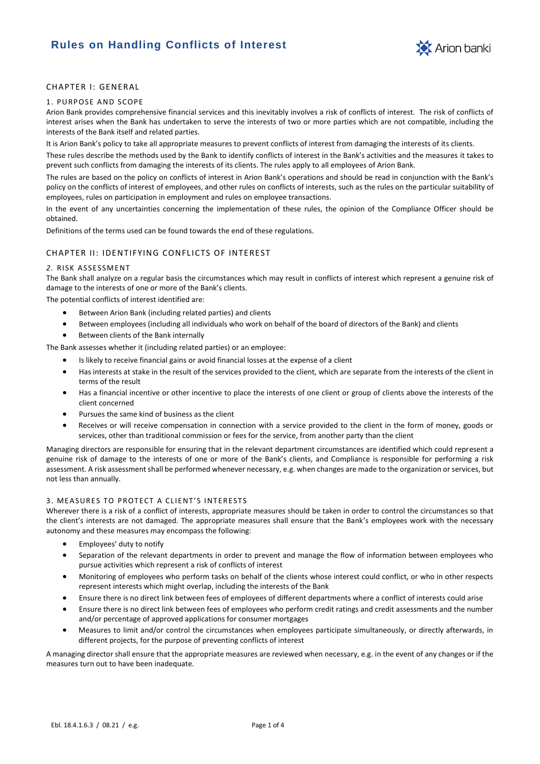# **Rules on Handling Conflicts of Interest**



# CHAPTER I: GENERAL

#### 1. PURPOSE AND SCOPE

Arion Bank provides comprehensive financial services and this inevitably involves a risk of conflicts of interest. The risk of conflicts of interest arises when the Bank has undertaken to serve the interests of two or more parties which are not compatible, including the interests of the Bank itself and related parties.

It is Arion Bank's policy to take all appropriate measures to prevent conflicts of interest from damaging the interests of its clients.

These rules describe the methods used by the Bank to identify conflicts of interest in the Bank's activities and the measures it takes to prevent such conflicts from damaging the interests of its clients. The rules apply to all employees of Arion Bank.

The rules are based on the policy on conflicts of interest in Arion Bank's operations and should be read in conjunction with the Bank's policy on the conflicts of interest of employees, and other rules on conflicts of interests, such as the rules on the particular suitability of employees, rules on participation in employment and rules on employee transactions.

In the event of any uncertainties concerning the implementation of these rules, the opinion of the Compliance Officer should be obtained.

Definitions of the terms used can be found towards the end of these regulations.

# CHAPTER II: IDENTIFYING CONFLICTS OF INTEREST

#### 2. RISK ASSESSMENT

The Bank shall analyze on a regular basis the circumstances which may result in conflicts of interest which represent a genuine risk of damage to the interests of one or more of the Bank's clients.

The potential conflicts of interest identified are:

- Between Arion Bank (including related parties) and clients
- Between employees (including all individuals who work on behalf of the board of directors of the Bank) and clients
- Between clients of the Bank internally

The Bank assesses whether it (including related parties) or an employee:

- Is likely to receive financial gains or avoid financial losses at the expense of a client
- Has interests at stake in the result of the services provided to the client, which are separate from the interests of the client in terms of the result
- Has a financial incentive or other incentive to place the interests of one client or group of clients above the interests of the client concerned
- Pursues the same kind of business as the client
- Receives or will receive compensation in connection with a service provided to the client in the form of money, goods or services, other than traditional commission or fees for the service, from another party than the client

Managing directors are responsible for ensuring that in the relevant department circumstances are identified which could represent a genuine risk of damage to the interests of one or more of the Bank's clients, and Compliance is responsible for performing a risk assessment. A risk assessment shall be performed whenever necessary, e.g. when changes are made to the organization or services, but not less than annually.

# 3. MEASURES TO PROTECT A CLIENT'S INTERESTS

Wherever there is a risk of a conflict of interests, appropriate measures should be taken in order to control the circumstances so that the client's interests are not damaged. The appropriate measures shall ensure that the Bank's employees work with the necessary autonomy and these measures may encompass the following:

- Employees' duty to notify
- Separation of the relevant departments in order to prevent and manage the flow of information between employees who pursue activities which represent a risk of conflicts of interest
- Monitoring of employees who perform tasks on behalf of the clients whose interest could conflict, or who in other respects represent interests which might overlap, including the interests of the Bank
- Ensure there is no direct link between fees of employees of different departments where a conflict of interests could arise
- Ensure there is no direct link between fees of employees who perform credit ratings and credit assessments and the number and/or percentage of approved applications for consumer mortgages
- Measures to limit and/or control the circumstances when employees participate simultaneously, or directly afterwards, in different projects, for the purpose of preventing conflicts of interest

A managing director shall ensure that the appropriate measures are reviewed when necessary, e.g. in the event of any changes or if the measures turn out to have been inadequate.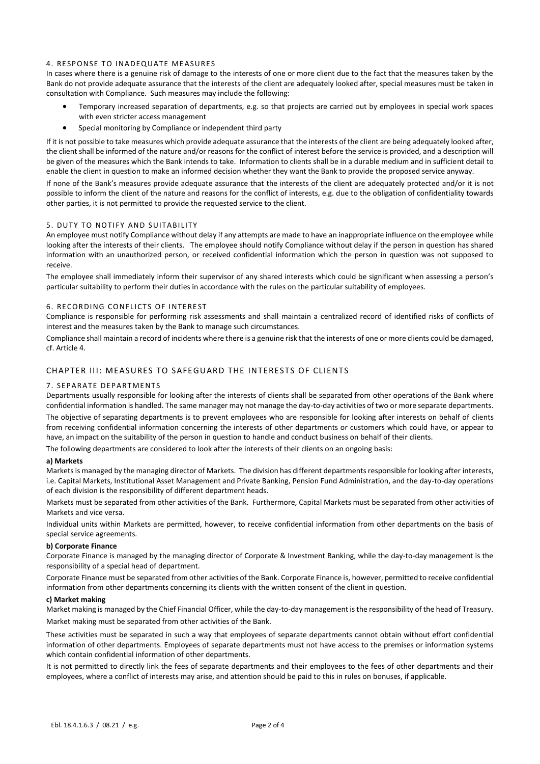# 4. RESPONSE TO INADEQUATE MEASURES

In cases where there is a genuine risk of damage to the interests of one or more client due to the fact that the measures taken by the Bank do not provide adequate assurance that the interests of the client are adequately looked after, special measures must be taken in consultation with Compliance. Such measures may include the following:

- Temporary increased separation of departments, e.g. so that projects are carried out by employees in special work spaces with even stricter access management
- Special monitoring by Compliance or independent third party

If it is not possible to take measures which provide adequate assurance that the interests of the client are being adequately looked after, the client shall be informed of the nature and/or reasons for the conflict of interest before the service is provided, and a description will be given of the measures which the Bank intends to take. Information to clients shall be in a durable medium and in sufficient detail to enable the client in question to make an informed decision whether they want the Bank to provide the proposed service anyway.

If none of the Bank's measures provide adequate assurance that the interests of the client are adequately protected and/or it is not possible to inform the client of the nature and reasons for the conflict of interests, e.g. due to the obligation of confidentiality towards other parties, it is not permitted to provide the requested service to the client.

### 5. DUTY TO NOTIFY AND SUITABILITY

An employee must notify Compliance without delay if any attempts are made to have an inappropriate influence on the employee while looking after the interests of their clients. The employee should notify Compliance without delay if the person in question has shared information with an unauthorized person, or received confidential information which the person in question was not supposed to receive.

The employee shall immediately inform their supervisor of any shared interests which could be significant when assessing a person's particular suitability to perform their duties in accordance with the rules on the particular suitability of employees.

# 6. RECORDING CONFLICTS OF INTEREST

Compliance is responsible for performing risk assessments and shall maintain a centralized record of identified risks of conflicts of interest and the measures taken by the Bank to manage such circumstances.

Compliance shall maintain a record of incidents where there is a genuine risk that the interests of one or more clients could be damaged, cf. Article 4.

# CHAPTER III: MEASURES TO SAFEGUARD THE INTERESTS OF CLIENTS

#### 7. SEPA RATE DEP ARTME NT S

Departments usually responsible for looking after the interests of clients shall be separated from other operations of the Bank where confidential information is handled. The same manager may not manage the day-to-day activities of two or more separate departments. The objective of separating departments is to prevent employees who are responsible for looking after interests on behalf of clients from receiving confidential information concerning the interests of other departments or customers which could have, or appear to have, an impact on the suitability of the person in question to handle and conduct business on behalf of their clients.

The following departments are considered to look after the interests of their clients on an ongoing basis:

### **a) Markets**

Markets is managed by the managing director of Markets. The division has different departments responsible for looking after interests, i.e. Capital Markets, Institutional Asset Management and Private Banking, Pension Fund Administration, and the day-to-day operations of each division is the responsibility of different department heads.

Markets must be separated from other activities of the Bank. Furthermore, Capital Markets must be separated from other activities of Markets and vice versa.

Individual units within Markets are permitted, however, to receive confidential information from other departments on the basis of special service agreements.

#### **b) Corporate Finance**

Corporate Finance is managed by the managing director of Corporate & Investment Banking, while the day-to-day management is the responsibility of a special head of department.

Corporate Finance must be separated from other activities of the Bank. Corporate Finance is, however, permitted to receive confidential information from other departments concerning its clients with the written consent of the client in question.

# **c) Market making**

Market making is managed by the Chief Financial Officer, while the day-to-day management is the responsibility of the head of Treasury. Market making must be separated from other activities of the Bank.

These activities must be separated in such a way that employees of separate departments cannot obtain without effort confidential information of other departments. Employees of separate departments must not have access to the premises or information systems which contain confidential information of other departments.

It is not permitted to directly link the fees of separate departments and their employees to the fees of other departments and their employees, where a conflict of interests may arise, and attention should be paid to this in rules on bonuses, if applicable.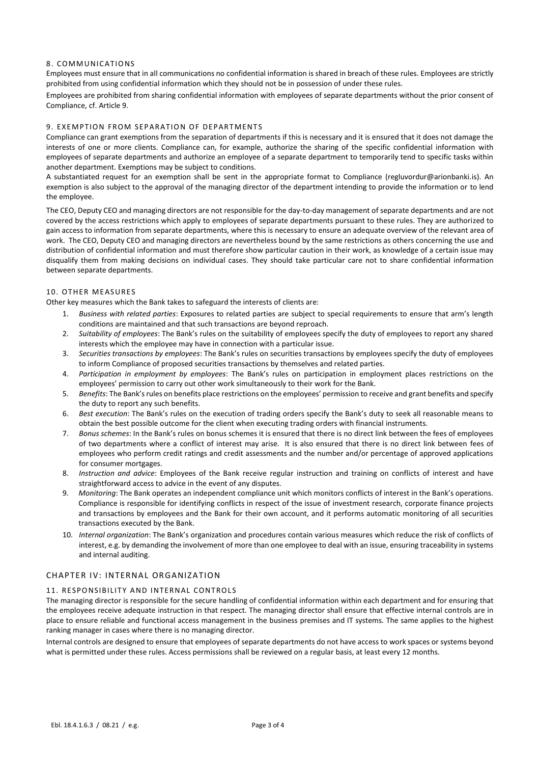# 8. COMMUNICATIONS

Employees must ensure that in all communications no confidential information is shared in breach of these rules. Employees are strictly prohibited from using confidential information which they should not be in possession of under these rules.

Employees are prohibited from sharing confidential information with employees of separate departments without the prior consent of Compliance, cf. Article 9.

# 9. EXEMPTION FROM SEPARATION OF DEPARTMENTS

Compliance can grant exemptions from the separation of departments if this is necessary and it is ensured that it does not damage the interests of one or more clients. Compliance can, for example, authorize the sharing of the specific confidential information with employees of separate departments and authorize an employee of a separate department to temporarily tend to specific tasks within another department. Exemptions may be subject to conditions.

A substantiated request for an exemption shall be sent in the appropriate format to Compliance (regluvordur@arionbanki.is). An exemption is also subject to the approval of the managing director of the department intending to provide the information or to lend the employee.

The CEO, Deputy CEO and managing directors are not responsible for the day-to-day management of separate departments and are not covered by the access restrictions which apply to employees of separate departments pursuant to these rules. They are authorized to gain access to information from separate departments, where this is necessary to ensure an adequate overview of the relevant area of work. The CEO, Deputy CEO and managing directors are nevertheless bound by the same restrictions as others concerning the use and distribution of confidential information and must therefore show particular caution in their work, as knowledge of a certain issue may disqualify them from making decisions on individual cases. They should take particular care not to share confidential information between separate departments.

# 10. OTHER MEASURES

Other key measures which the Bank takes to safeguard the interests of clients are:

- 1. *Business with related parties*: Exposures to related parties are subject to special requirements to ensure that arm's length conditions are maintained and that such transactions are beyond reproach.
- 2. *Suitability of employees*: The Bank's rules on the suitability of employees specify the duty of employees to report any shared interests which the employee may have in connection with a particular issue.
- 3. *Securities transactions by employees*: The Bank's rules on securities transactions by employees specify the duty of employees to inform Compliance of proposed securities transactions by themselves and related parties.
- 4. *Participation in employment by employees*: The Bank's rules on participation in employment places restrictions on the employees' permission to carry out other work simultaneously to their work for the Bank.
- 5. *Benefits*: The Bank's rules on benefits place restrictions on the employees' permission to receive and grant benefits and specify the duty to report any such benefits.
- 6. *Best execution*: The Bank's rules on the execution of trading orders specify the Bank's duty to seek all reasonable means to obtain the best possible outcome for the client when executing trading orders with financial instruments.
- 7. *Bonus schemes*: In the Bank's rules on bonus schemes it is ensured that there is no direct link between the fees of employees of two departments where a conflict of interest may arise. It is also ensured that there is no direct link between fees of employees who perform credit ratings and credit assessments and the number and/or percentage of approved applications for consumer mortgages.
- 8. *Instruction and advice*: Employees of the Bank receive regular instruction and training on conflicts of interest and have straightforward access to advice in the event of any disputes.
- 9. *Monitoring*: The Bank operates an independent compliance unit which monitors conflicts of interest in the Bank's operations. Compliance is responsible for identifying conflicts in respect of the issue of investment research, corporate finance projects and transactions by employees and the Bank for their own account, and it performs automatic monitoring of all securities transactions executed by the Bank.
- 10. *Internal organization*: The Bank's organization and procedures contain various measures which reduce the risk of conflicts of interest, e.g. by demanding the involvement of more than one employee to deal with an issue, ensuring traceability in systems and internal auditing.

# CHAPTER IV: INTERNAL ORGANIZATION

# 11. RESPONSIBILITY AND INTERNAL CONTROLS

The managing director is responsible for the secure handling of confidential information within each department and for ensuring that the employees receive adequate instruction in that respect. The managing director shall ensure that effective internal controls are in place to ensure reliable and functional access management in the business premises and IT systems. The same applies to the highest ranking manager in cases where there is no managing director.

Internal controls are designed to ensure that employees of separate departments do not have access to work spaces or systems beyond what is permitted under these rules. Access permissions shall be reviewed on a regular basis, at least every 12 months.